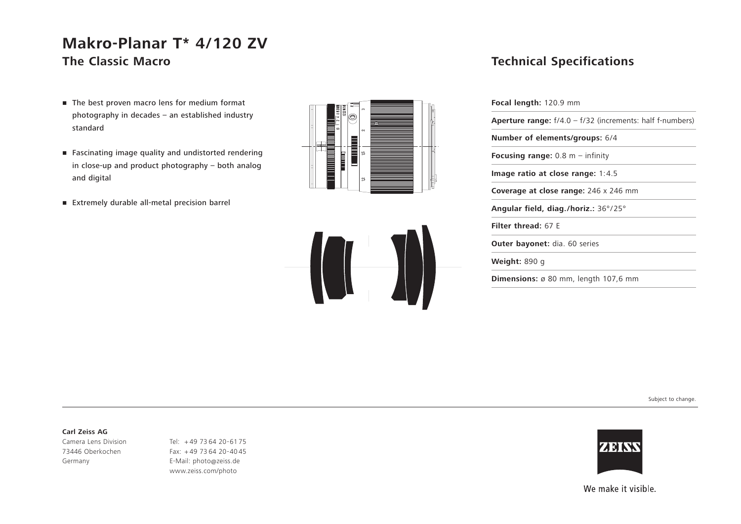# **Makro-Planar T\* 4/120 ZV The Classic Macro**

- The best proven macro lens for medium format photography in decades – an established industry standard
- Fascinating image quality and undistorted rendering in close-up and product photography – both analog and digital
- Extremely durable all-metal precision barrel





### **Technical Specifications**

| <b>Focal length:</b> 120.9 mm                                      |  |
|--------------------------------------------------------------------|--|
| <b>Aperture range:</b> $f/4.0 - f/32$ (increments: half f-numbers) |  |
| <b>Number of elements/groups: 6/4</b>                              |  |
| <b>Focusing range:</b> 0.8 $m -$ infinity                          |  |
| Image ratio at close range: $1:4.5$                                |  |
| <b>Coverage at close range:</b> 246 x 246 mm                       |  |
| Angular field, diag./horiz.: $36^{\circ}/25^{\circ}$               |  |
| Filter thread: 67 F                                                |  |
| <b>Outer bayonet:</b> dia. 60 series                               |  |
| <b>Weight:</b> 890 g                                               |  |
| <b>Dimensions:</b> $\varnothing$ 80 mm, length 107,6 mm            |  |

Subject to change.

#### **Carl Zeiss AG**

Camera Lens Division 73446 Oberkochen Germany

Tel: <sup>+</sup> 49 73 64 20-61 75 Fax: + 49 73 64 20-40 45 E-Mail: photo@zeiss.de www.zeiss.com/photo



We make it visible.